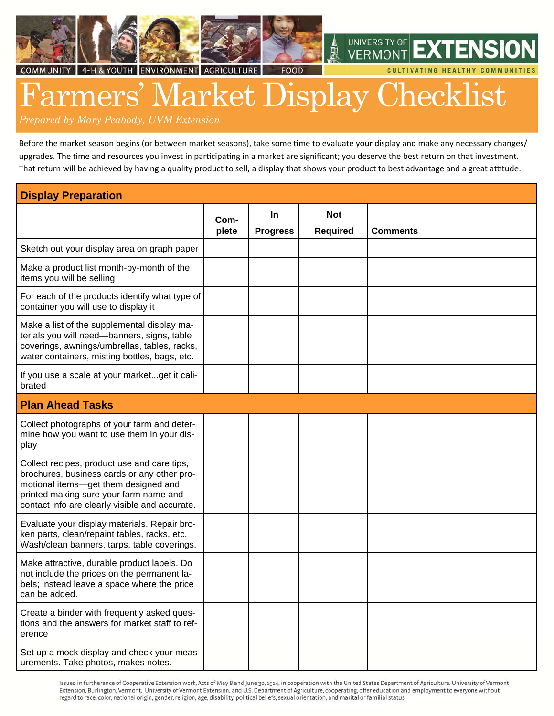





**UNIVERSITY OF VFRMON** 

CULTIVATING HEALTHY COMMUNITIES

# rmers' Market Display Checklist

*Prepared by Mary Peabody, UVM Extension*

Before the market season begins (or between market seasons), take some time to evaluate your display and make any necessary changes/ upgrades. The time and resources you invest in participating in a market are significant; you deserve the best return on that investment. That return will be achieved by having a quality product to sell, a display that shows your product to best advantage and a great attitude.

| <b>Display Preparation</b>                                                                                                                                                                                                     |       |                 |                 |                 |  |  |
|--------------------------------------------------------------------------------------------------------------------------------------------------------------------------------------------------------------------------------|-------|-----------------|-----------------|-----------------|--|--|
|                                                                                                                                                                                                                                | Com-  | <b>In</b>       | <b>Not</b>      |                 |  |  |
|                                                                                                                                                                                                                                | plete | <b>Progress</b> | <b>Required</b> | <b>Comments</b> |  |  |
| Sketch out your display area on graph paper                                                                                                                                                                                    |       |                 |                 |                 |  |  |
| Make a product list month-by-month of the<br>items you will be selling                                                                                                                                                         |       |                 |                 |                 |  |  |
| For each of the products identify what type of<br>container you will use to display it                                                                                                                                         |       |                 |                 |                 |  |  |
| Make a list of the supplemental display ma-<br>terials you will need-banners, signs, table<br>coverings, awnings/umbrellas, tables, racks,<br>water containers, misting bottles, bags, etc.                                    |       |                 |                 |                 |  |  |
| If you use a scale at your marketget it cali-<br>brated                                                                                                                                                                        |       |                 |                 |                 |  |  |
| <b>Plan Ahead Tasks</b>                                                                                                                                                                                                        |       |                 |                 |                 |  |  |
| Collect photographs of your farm and deter-<br>mine how you want to use them in your dis-<br>play                                                                                                                              |       |                 |                 |                 |  |  |
| Collect recipes, product use and care tips,<br>brochures, business cards or any other pro-<br>motional items-get them designed and<br>printed making sure your farm name and<br>contact info are clearly visible and accurate. |       |                 |                 |                 |  |  |
| Evaluate your display materials. Repair bro-<br>ken parts, clean/repaint tables, racks, etc.<br>Wash/clean banners, tarps, table coverings.                                                                                    |       |                 |                 |                 |  |  |
| Make attractive, durable product labels. Do<br>not include the prices on the permanent la-<br>bels; instead leave a space where the price<br>can be added.                                                                     |       |                 |                 |                 |  |  |
| Create a binder with frequently asked ques-<br>tions and the answers for market staff to ref-<br>erence                                                                                                                        |       |                 |                 |                 |  |  |
| Set up a mock display and check your meas-<br>urements. Take photos, makes notes.                                                                                                                                              |       |                 |                 |                 |  |  |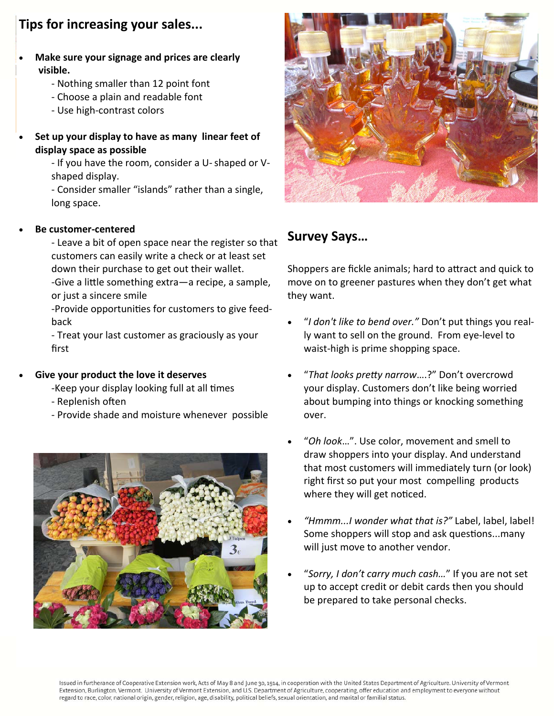## **Tips for increasing your sales...**

- **Make sure your signage and prices are clearly visible.**
	- ‐ Nothing smaller than 12 point font
	- ‐ Choose a plain and readable font
	- ‐ Use high‐contrast colors
- **Set up your display to have as many linear feet of display space as possible**
	- ‐ If you have the room, consider a U‐ shaped or V‐ shaped display.
	- ‐ Consider smaller "islands" rather than a single, long space.

#### **Be customer‐centered**

- ‐ Leave a bit of open space near the register so that customers can easily write a check or at least set down their purchase to get out their wallet.
- -Give a little something extra—a recipe, a sample, or just a sincere smile
- -Provide opportunities for customers to give feedback
- ‐ Treat your last customer as graciously as your first

#### **Give your product the love it deserves**

- -Keep your display looking full at all times
- Replenish often
- ‐ Provide shade and moisture whenever possible





### **Survey Says…**

Shoppers are fickle animals; hard to attract and quick to move on to greener pastures when they don't get what they want.

- "*I don't like to bend over."* Don't put things you real‐ ly want to sell on the ground. From eye‐level to waist‐high is prime shopping space.
- "*That looks preƩy narrow*….?" Don't overcrowd your display. Customers don't like being worried about bumping into things or knocking something over.
- "*Oh look*…". Use color, movement and smell to draw shoppers into your display. And understand that most customers will immediately turn (or look) right first so put your most compelling products where they will get noticed.
- *"Hmmm...I wonder what that is?"* Label, label, label! Some shoppers will stop and ask questions...many will just move to another vendor.
- "*Sorry, I don't carry much cash…*" If you are not set up to accept credit or debit cards then you should be prepared to take personal checks.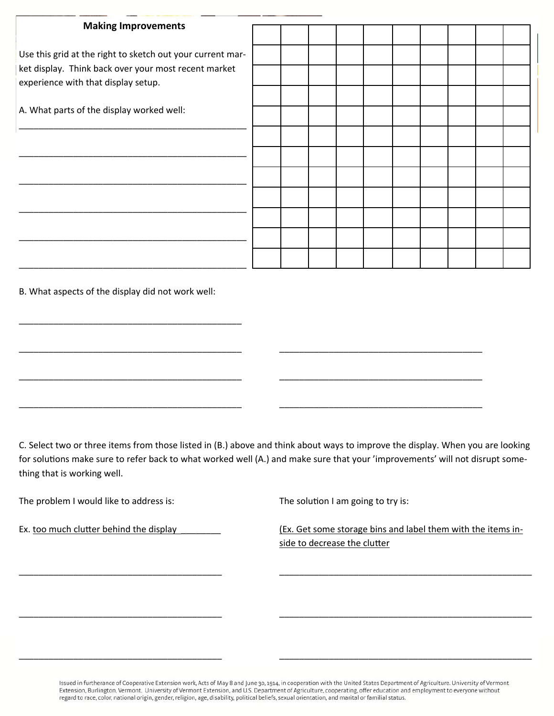| <b>Making Improvements</b>                                                                                                                                |  |  |  |  |  |
|-----------------------------------------------------------------------------------------------------------------------------------------------------------|--|--|--|--|--|
|                                                                                                                                                           |  |  |  |  |  |
| Use this grid at the right to sketch out your current mar-<br>ket display. Think back over your most recent market<br>experience with that display setup. |  |  |  |  |  |
|                                                                                                                                                           |  |  |  |  |  |
|                                                                                                                                                           |  |  |  |  |  |
| A. What parts of the display worked well:                                                                                                                 |  |  |  |  |  |
|                                                                                                                                                           |  |  |  |  |  |
|                                                                                                                                                           |  |  |  |  |  |
|                                                                                                                                                           |  |  |  |  |  |
|                                                                                                                                                           |  |  |  |  |  |
|                                                                                                                                                           |  |  |  |  |  |
|                                                                                                                                                           |  |  |  |  |  |
|                                                                                                                                                           |  |  |  |  |  |

B. What aspects of the display did not work well:

\_\_\_\_\_\_\_\_\_\_\_\_\_\_\_\_\_\_\_\_\_\_\_\_\_\_\_\_\_\_\_\_\_\_\_\_\_\_\_\_\_\_\_\_\_

C. Select two or three items from those listed in (B.) above and think about ways to improve the display. When you are looking for solutions make sure to refer back to what worked well (A.) and make sure that your 'improvements' will not disrupt something that is working well.

\_\_\_\_\_\_\_\_\_\_\_\_\_\_\_\_\_\_\_\_\_\_\_\_\_\_\_\_\_\_\_\_\_\_\_\_\_\_\_\_\_ \_\_\_\_\_\_\_\_\_\_\_\_\_\_\_\_\_\_\_\_\_\_\_\_\_\_\_\_\_\_\_\_\_\_\_\_\_\_\_\_\_\_\_\_\_\_\_\_\_\_\_

\_\_\_\_\_\_\_\_\_\_\_\_\_\_\_\_\_\_\_\_\_\_\_\_\_\_\_\_\_\_\_\_\_\_\_\_\_\_\_\_\_ \_\_\_\_\_\_\_\_\_\_\_\_\_\_\_\_\_\_\_\_\_\_\_\_\_\_\_\_\_\_\_\_\_\_\_\_\_\_\_\_\_\_\_\_\_\_\_\_\_\_\_

\_\_\_\_\_\_\_\_\_\_\_\_\_\_\_\_\_\_\_\_\_\_\_\_\_\_\_\_\_\_\_\_\_\_\_\_\_\_\_\_\_ \_\_\_\_\_\_\_\_\_\_\_\_\_\_\_\_\_\_\_\_\_\_\_\_\_\_\_\_\_\_\_\_\_\_\_\_\_\_\_\_\_\_\_\_\_\_\_\_\_\_\_

\_\_\_\_\_\_\_\_\_\_\_\_\_\_\_\_\_\_\_\_\_\_\_\_\_\_\_\_\_\_\_\_\_\_\_\_\_\_\_\_\_\_\_\_\_ \_\_\_\_\_\_\_\_\_\_\_\_\_\_\_\_\_\_\_\_\_\_\_\_\_\_\_\_\_\_\_\_\_\_\_\_\_\_\_\_\_

\_\_\_\_\_\_\_\_\_\_\_\_\_\_\_\_\_\_\_\_\_\_\_\_\_\_\_\_\_\_\_\_\_\_\_\_\_\_\_\_\_\_\_\_\_ \_\_\_\_\_\_\_\_\_\_\_\_\_\_\_\_\_\_\_\_\_\_\_\_\_\_\_\_\_\_\_\_\_\_\_\_\_\_\_\_\_

\_\_\_\_\_\_\_\_\_\_\_\_\_\_\_\_\_\_\_\_\_\_\_\_\_\_\_\_\_\_\_\_\_\_\_\_\_\_\_\_\_\_\_\_\_ \_\_\_\_\_\_\_\_\_\_\_\_\_\_\_\_\_\_\_\_\_\_\_\_\_\_\_\_\_\_\_\_\_\_\_\_\_\_\_\_\_

| The problem I would like to address is: |  |
|-----------------------------------------|--|
|-----------------------------------------|--|

The solution I am going to try is:

Ex. too much clutter behind the display \_\_\_\_\_\_\_\_ (Ex. Get some storage bins and label them with the items inside to decrease the clutter